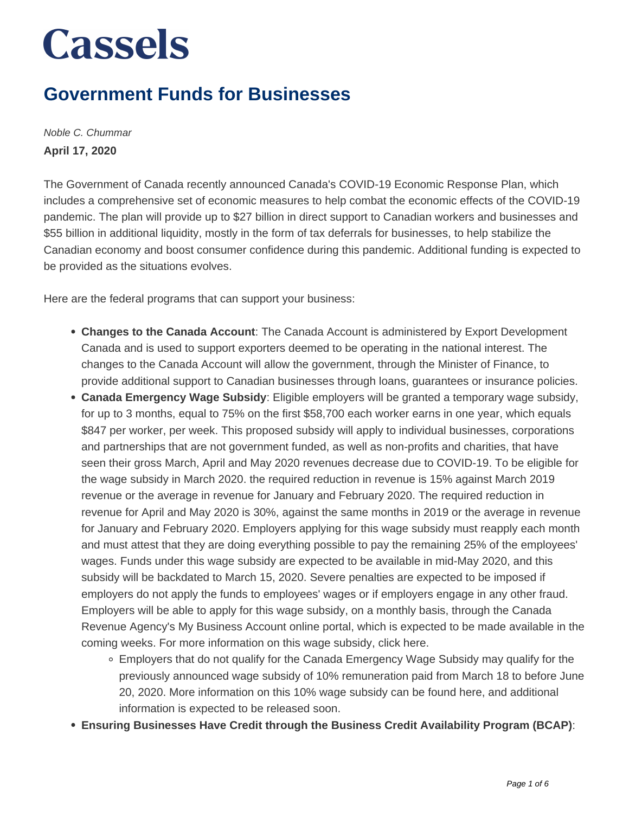### **Government Funds for Businesses**

Noble C. Chummar **April 17, 2020**

The Government of Canada recently announced Canada's COVID-19 Economic Response Plan, which includes a comprehensive set of economic measures to help combat the economic effects of the COVID-19 pandemic. The plan will provide up to \$27 billion in direct support to Canadian workers and businesses and \$55 billion in additional liquidity, mostly in the form of tax deferrals for businesses, to help stabilize the Canadian economy and boost consumer confidence during this pandemic. Additional funding is expected to be provided as the situations evolves.

Here are the federal programs that can support your business:

- **Changes to the Canada Account**: The Canada Account is administered by Export Development Canada and is used to support exporters deemed to be operating in the national interest. The changes to the Canada Account will allow the government, through the Minister of Finance, to provide additional support to Canadian businesses through loans, guarantees or insurance policies.
- **Canada Emergency Wage Subsidy**: Eligible employers will be granted a temporary wage subsidy, for up to 3 months, equal to 75% on the first \$58,700 each worker earns in one year, which equals \$847 per worker, per week. This proposed subsidy will apply to individual businesses, corporations and partnerships that are not government funded, as well as non-profits and charities, that have seen their gross March, April and May 2020 revenues decrease due to COVID-19. To be eligible for the wage subsidy in March 2020. the required reduction in revenue is 15% against March 2019 revenue or the average in revenue for January and February 2020. The required reduction in revenue for April and May 2020 is 30%, against the same months in 2019 or the average in revenue for January and February 2020. Employers applying for this wage subsidy must reapply each month and must attest that they are doing everything possible to pay the remaining 25% of the employees' wages. Funds under this wage subsidy are expected to be available in mid-May 2020, and this subsidy will be backdated to March 15, 2020. Severe penalties are expected to be imposed if employers do not apply the funds to employees' wages or if employers engage in any other fraud. Employers will be able to apply for this wage subsidy, on a monthly basis, through the Canada Revenue Agency's My Business Account online portal, which is expected to be made available in the coming weeks. For more information on this wage subsidy, click here.
	- Employers that do not qualify for the Canada Emergency Wage Subsidy may qualify for the previously announced wage subsidy of 10% remuneration paid from March 18 to before June 20, 2020. More information on this 10% wage subsidy can be found here, and additional information is expected to be released soon.
- **Ensuring Businesses Have Credit through the Business Credit Availability Program (BCAP)**: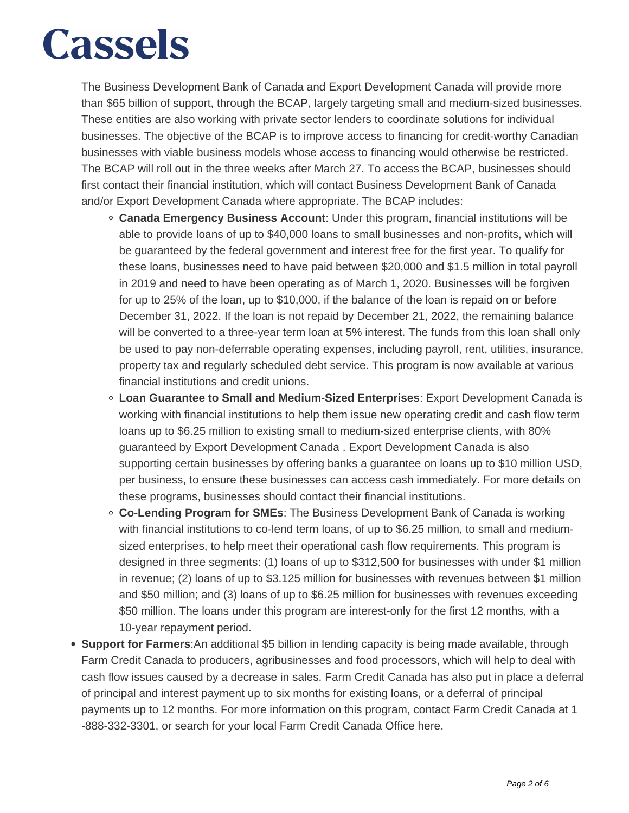The Business Development Bank of Canada and Export Development Canada will provide more than \$65 billion of support, through the BCAP, largely targeting small and medium-sized businesses. These entities are also working with private sector lenders to coordinate solutions for individual businesses. The objective of the BCAP is to improve access to financing for credit-worthy Canadian businesses with viable business models whose access to financing would otherwise be restricted. The BCAP will roll out in the three weeks after March 27. To access the BCAP, businesses should first contact their financial institution, which will contact Business Development Bank of Canada and/or Export Development Canada where appropriate. The BCAP includes:

- **Canada Emergency Business Account**: Under this program, financial institutions will be able to provide loans of up to \$40,000 loans to small businesses and non-profits, which will be guaranteed by the federal government and interest free for the first year. To qualify for these loans, businesses need to have paid between \$20,000 and \$1.5 million in total payroll in 2019 and need to have been operating as of March 1, 2020. Businesses will be forgiven for up to 25% of the loan, up to \$10,000, if the balance of the loan is repaid on or before December 31, 2022. If the loan is not repaid by December 21, 2022, the remaining balance will be converted to a three-year term loan at 5% interest. The funds from this loan shall only be used to pay non-deferrable operating expenses, including payroll, rent, utilities, insurance, property tax and regularly scheduled debt service. This program is now available at various financial institutions and credit unions.
- **Loan Guarantee to Small and Medium-Sized Enterprises**: Export Development Canada is working with financial institutions to help them issue new operating credit and cash flow term loans up to \$6.25 million to existing small to medium-sized enterprise clients, with 80% guaranteed by Export Development Canada . Export Development Canada is also supporting certain businesses by offering banks a guarantee on loans up to \$10 million USD, per business, to ensure these businesses can access cash immediately. For more details on these programs, businesses should contact their financial institutions.
- **Co-Lending Program for SMEs**: The Business Development Bank of Canada is working with financial institutions to co-lend term loans, of up to \$6.25 million, to small and mediumsized enterprises, to help meet their operational cash flow requirements. This program is designed in three segments: (1) loans of up to \$312,500 for businesses with under \$1 million in revenue; (2) loans of up to \$3.125 million for businesses with revenues between \$1 million and \$50 million; and (3) loans of up to \$6.25 million for businesses with revenues exceeding \$50 million. The loans under this program are interest-only for the first 12 months, with a 10-year repayment period.
- **Support for Farmers**:An additional \$5 billion in lending capacity is being made available, through Farm Credit Canada to producers, agribusinesses and food processors, which will help to deal with cash flow issues caused by a decrease in sales. Farm Credit Canada has also put in place a deferral of principal and interest payment up to six months for existing loans, or a deferral of principal payments up to 12 months. For more information on this program, contact Farm Credit Canada at 1 -888-332-3301, or search for your local Farm Credit Canada Office here.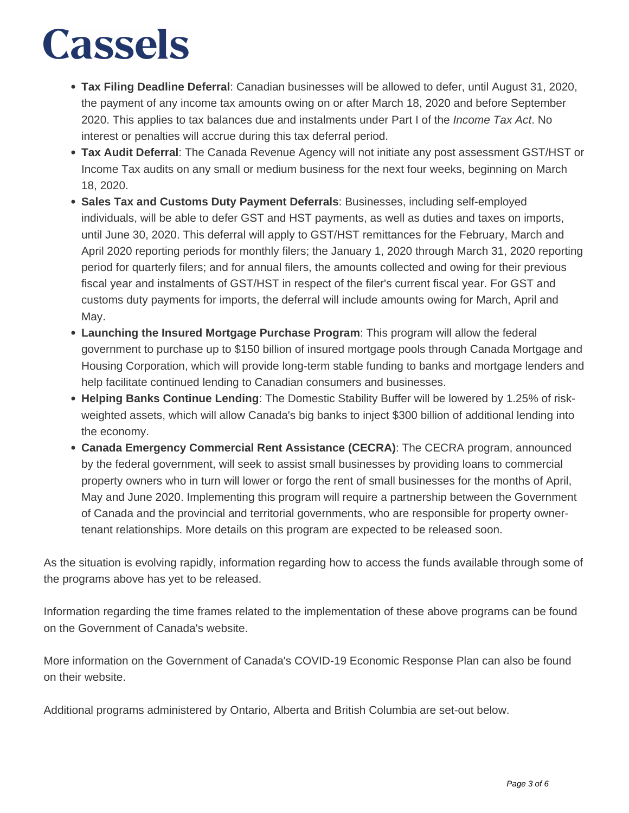- **Tax Filing Deadline Deferral**: Canadian businesses will be allowed to defer, until August 31, 2020, the payment of any income tax amounts owing on or after March 18, 2020 and before September 2020. This applies to tax balances due and instalments under Part I of the *Income Tax Act*. No interest or penalties will accrue during this tax deferral period.
- **Tax Audit Deferral**: The Canada Revenue Agency will not initiate any post assessment GST/HST or Income Tax audits on any small or medium business for the next four weeks, beginning on March 18, 2020.
- **Sales Tax and Customs Duty Payment Deferrals**: Businesses, including self-employed individuals, will be able to defer GST and HST payments, as well as duties and taxes on imports, until June 30, 2020. This deferral will apply to GST/HST remittances for the February, March and April 2020 reporting periods for monthly filers; the January 1, 2020 through March 31, 2020 reporting period for quarterly filers; and for annual filers, the amounts collected and owing for their previous fiscal year and instalments of GST/HST in respect of the filer's current fiscal year. For GST and customs duty payments for imports, the deferral will include amounts owing for March, April and May.
- **Launching the Insured Mortgage Purchase Program**: This program will allow the federal government to purchase up to \$150 billion of insured mortgage pools through Canada Mortgage and Housing Corporation, which will provide long-term stable funding to banks and mortgage lenders and help facilitate continued lending to Canadian consumers and businesses.
- **Helping Banks Continue Lending**: The Domestic Stability Buffer will be lowered by 1.25% of riskweighted assets, which will allow Canada's big banks to inject \$300 billion of additional lending into the economy.
- **Canada Emergency Commercial Rent Assistance (CECRA)**: The CECRA program, announced by the federal government, will seek to assist small businesses by providing loans to commercial property owners who in turn will lower or forgo the rent of small businesses for the months of April, May and June 2020. Implementing this program will require a partnership between the Government of Canada and the provincial and territorial governments, who are responsible for property ownertenant relationships. More details on this program are expected to be released soon.

As the situation is evolving rapidly, information regarding how to access the funds available through some of the programs above has yet to be released.

Information regarding the time frames related to the implementation of these above programs can be found on the Government of Canada's website.

More information on the Government of Canada's COVID-19 Economic Response Plan can also be found on their website.

Additional programs administered by Ontario, Alberta and British Columbia are set-out below.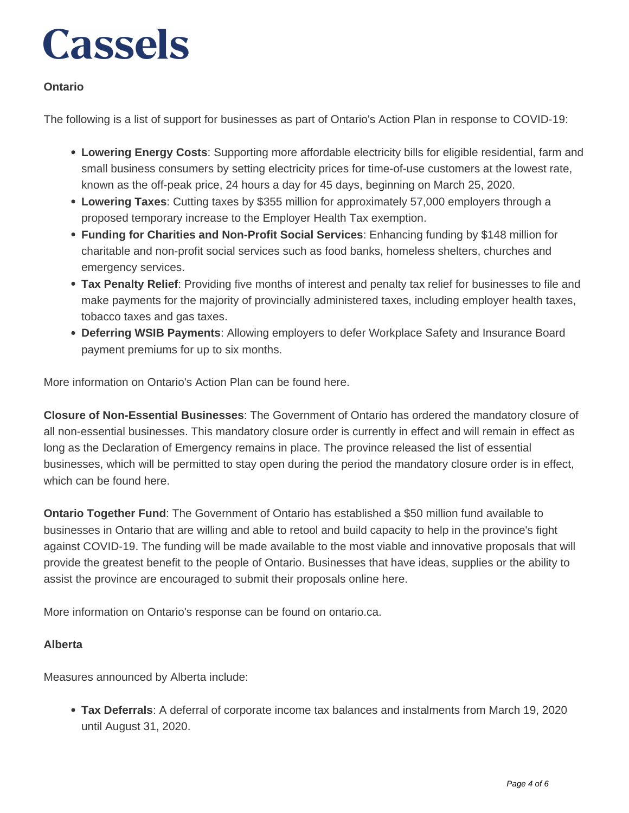### **Ontario**

The following is a list of support for businesses as part of Ontario's Action Plan in response to COVID-19:

- **Lowering Energy Costs**: Supporting more affordable electricity bills for eligible residential, farm and small business consumers by setting electricity prices for time-of-use customers at the lowest rate, known as the off-peak price, 24 hours a day for 45 days, beginning on March 25, 2020.
- **Lowering Taxes**: Cutting taxes by \$355 million for approximately 57,000 employers through a proposed temporary increase to the Employer Health Tax exemption.
- **Funding for Charities and Non-Profit Social Services**: Enhancing funding by \$148 million for charitable and non-profit social services such as food banks, homeless shelters, churches and emergency services.
- **Tax Penalty Relief**: Providing five months of interest and penalty tax relief for businesses to file and make payments for the majority of provincially administered taxes, including employer health taxes, tobacco taxes and gas taxes.
- **Deferring WSIB Payments**: Allowing employers to defer Workplace Safety and Insurance Board payment premiums for up to six months.

More information on Ontario's Action Plan can be found here.

**Closure of Non-Essential Businesses**: The Government of Ontario has ordered the mandatory closure of all non-essential businesses. This mandatory closure order is currently in effect and will remain in effect as long as the Declaration of Emergency remains in place. The province released the list of essential businesses, which will be permitted to stay open during the period the mandatory closure order is in effect, which can be found here.

**Ontario Together Fund**: The Government of Ontario has established a \$50 million fund available to businesses in Ontario that are willing and able to retool and build capacity to help in the province's fight against COVID-19. The funding will be made available to the most viable and innovative proposals that will provide the greatest benefit to the people of Ontario. Businesses that have ideas, supplies or the ability to assist the province are encouraged to submit their proposals online here.

More information on Ontario's response can be found on ontario.ca.

#### **Alberta**

Measures announced by Alberta include:

**Tax Deferrals**: A deferral of corporate income tax balances and instalments from March 19, 2020 until August 31, 2020.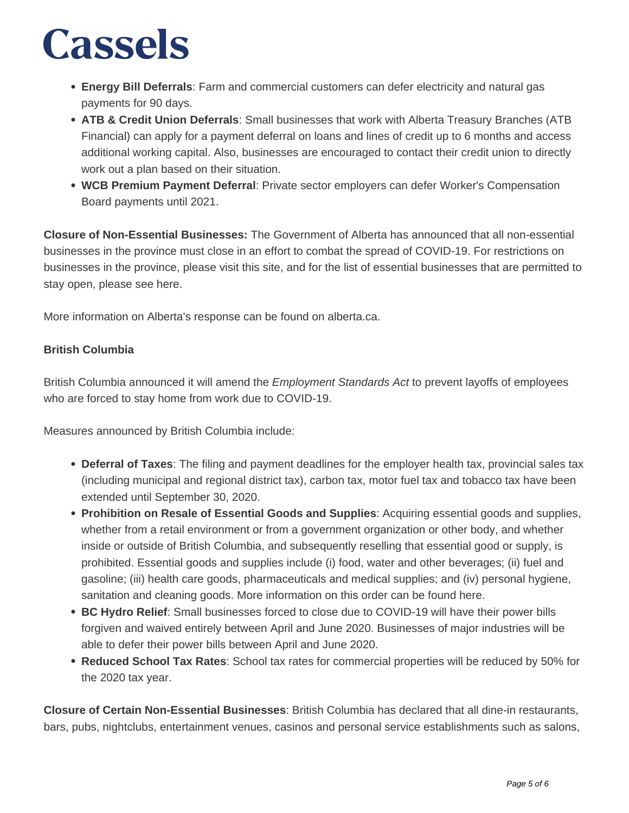- **Energy Bill Deferrals**: Farm and commercial customers can defer electricity and natural gas payments for 90 days.
- **ATB & Credit Union Deferrals**: Small businesses that work with Alberta Treasury Branches (ATB Financial) can apply for a payment deferral on loans and lines of credit up to 6 months and access additional working capital. Also, businesses are encouraged to contact their credit union to directly work out a plan based on their situation.
- **WCB Premium Payment Deferral**: Private sector employers can defer Worker's Compensation Board payments until 2021.

**Closure of Non-Essential Businesses:** The Government of Alberta has announced that all non-essential businesses in the province must close in an effort to combat the spread of COVID-19. For restrictions on businesses in the province, please visit this site, and for the list of essential businesses that are permitted to stay open, please see here.

More information on Alberta's response can be found on alberta.ca.

### **British Columbia**

British Columbia announced it will amend the *Employment Standards Act* to prevent layoffs of employees who are forced to stay home from work due to COVID-19.

Measures announced by British Columbia include:

- **Deferral of Taxes**: The filing and payment deadlines for the employer health tax, provincial sales tax (including municipal and regional district tax), carbon tax, motor fuel tax and tobacco tax have been extended until September 30, 2020.
- **Prohibition on Resale of Essential Goods and Supplies**: Acquiring essential goods and supplies, whether from a retail environment or from a government organization or other body, and whether inside or outside of British Columbia, and subsequently reselling that essential good or supply, is prohibited. Essential goods and supplies include (i) food, water and other beverages; (ii) fuel and gasoline; (iii) health care goods, pharmaceuticals and medical supplies; and (iv) personal hygiene, sanitation and cleaning goods. More information on this order can be found here.
- **BC Hydro Relief**: Small businesses forced to close due to COVID-19 will have their power bills forgiven and waived entirely between April and June 2020. Businesses of major industries will be able to defer their power bills between April and June 2020.
- **Reduced School Tax Rates**: School tax rates for commercial properties will be reduced by 50% for the 2020 tax year.

**Closure of Certain Non-Essential Businesses**: British Columbia has declared that all dine-in restaurants, bars, pubs, nightclubs, entertainment venues, casinos and personal service establishments such as salons,